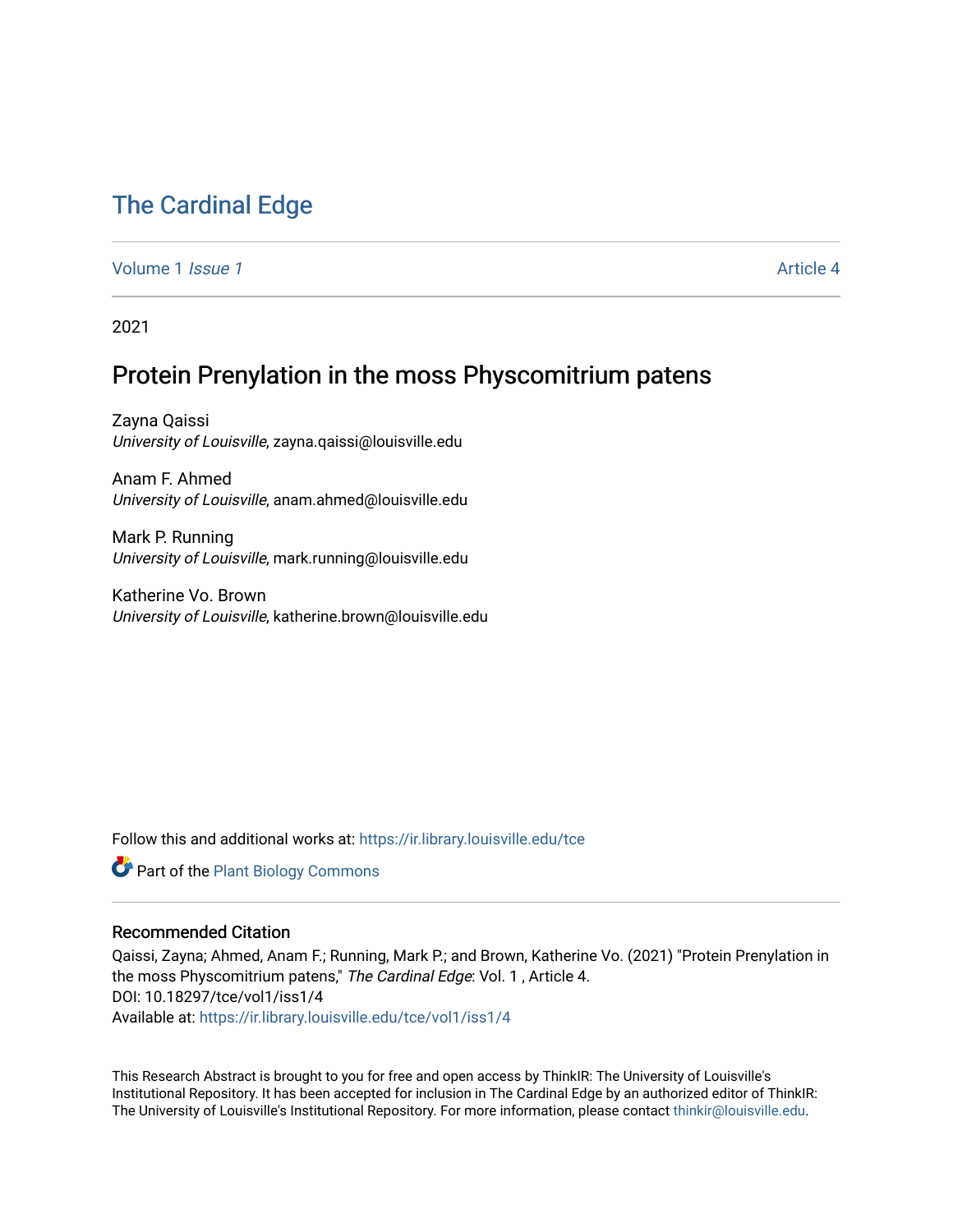# [The Cardinal Edge](https://ir.library.louisville.edu/tce)

[Volume 1](https://ir.library.louisville.edu/tce/vol1) *Issue 1* [Article 4](https://ir.library.louisville.edu/tce/vol1/iss1/4) Article 4 Article 4 Article 4 Article 4 Article 4 Article 4 Article 4 Article 4 Article 4 Article 4 Article 4 Article 4 Article 4 Article 4 Article 4 Article 4 Article 4 Article 4 Article 4 Art

2021

## Protein Prenylation in the moss Physcomitrium patens

Zayna Qaissi University of Louisville, zayna.qaissi@louisville.edu

Anam F. Ahmed University of Louisville, anam.ahmed@louisville.edu

Mark P. Running University of Louisville, mark.running@louisville.edu

Katherine Vo. Brown University of Louisville, katherine.brown@louisville.edu

Follow this and additional works at: [https://ir.library.louisville.edu/tce](https://ir.library.louisville.edu/tce?utm_source=ir.library.louisville.edu%2Ftce%2Fvol1%2Fiss1%2F4&utm_medium=PDF&utm_campaign=PDFCoverPages)

Part of the [Plant Biology Commons](http://network.bepress.com/hgg/discipline/106?utm_source=ir.library.louisville.edu%2Ftce%2Fvol1%2Fiss1%2F4&utm_medium=PDF&utm_campaign=PDFCoverPages) 

#### Recommended Citation

Qaissi, Zayna; Ahmed, Anam F.; Running, Mark P.; and Brown, Katherine Vo. (2021) "Protein Prenylation in the moss Physcomitrium patens," The Cardinal Edge: Vol. 1, Article 4. DOI: 10.18297/tce/vol1/iss1/4 Available at: [https://ir.library.louisville.edu/tce/vol1/iss1/4](https://ir.library.louisville.edu/tce/vol1/iss1/4?utm_source=ir.library.louisville.edu%2Ftce%2Fvol1%2Fiss1%2F4&utm_medium=PDF&utm_campaign=PDFCoverPages)

This Research Abstract is brought to you for free and open access by ThinkIR: The University of Louisville's Institutional Repository. It has been accepted for inclusion in The Cardinal Edge by an authorized editor of ThinkIR: The University of Louisville's Institutional Repository. For more information, please contact [thinkir@louisville.edu.](mailto:thinkir@louisville.edu)